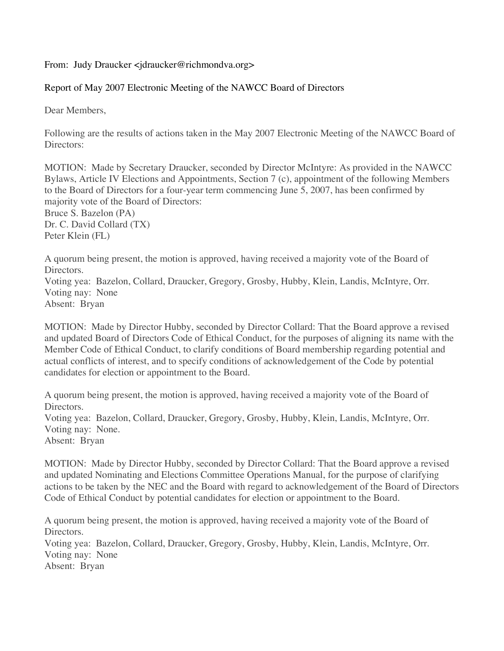## From: Judy Draucker <jdraucker@richmondva.org>

## Report of May 2007 Electronic Meeting of the NAWCC Board of Directors

Dear Members,

Following are the results of actions taken in the May 2007 Electronic Meeting of the NAWCC Board of Directors:

MOTION: Made by Secretary Draucker, seconded by Director McIntyre: As provided in the NAWCC Bylaws, Article IV Elections and Appointments, Section 7 (c), appointment of the following Members to the Board of Directors for a four-year term commencing June 5, 2007, has been confirmed by majority vote of the Board of Directors: Bruce S. Bazelon (PA) Dr. C. David Collard (TX) Peter Klein (FL)

A quorum being present, the motion is approved, having received a majority vote of the Board of Directors. Voting yea: Bazelon, Collard, Draucker, Gregory, Grosby, Hubby, Klein, Landis, McIntyre, Orr.

Voting nay: None Absent: Bryan

MOTION: Made by Director Hubby, seconded by Director Collard: That the Board approve a revised and updated Board of Directors Code of Ethical Conduct, for the purposes of aligning its name with the Member Code of Ethical Conduct, to clarify conditions of Board membership regarding potential and actual conflicts of interest, and to specify conditions of acknowledgement of the Code by potential candidates for election or appointment to the Board.

A quorum being present, the motion is approved, having received a majority vote of the Board of Directors.

Voting yea: Bazelon, Collard, Draucker, Gregory, Grosby, Hubby, Klein, Landis, McIntyre, Orr. Voting nay: None.

Absent: Bryan

MOTION: Made by Director Hubby, seconded by Director Collard: That the Board approve a revised and updated Nominating and Elections Committee Operations Manual, for the purpose of clarifying actions to be taken by the NEC and the Board with regard to acknowledgement of the Board of Directors Code of Ethical Conduct by potential candidates for election or appointment to the Board.

A quorum being present, the motion is approved, having received a majority vote of the Board of Directors. Voting yea: Bazelon, Collard, Draucker, Gregory, Grosby, Hubby, Klein, Landis, McIntyre, Orr. Voting nay: None Absent: Bryan